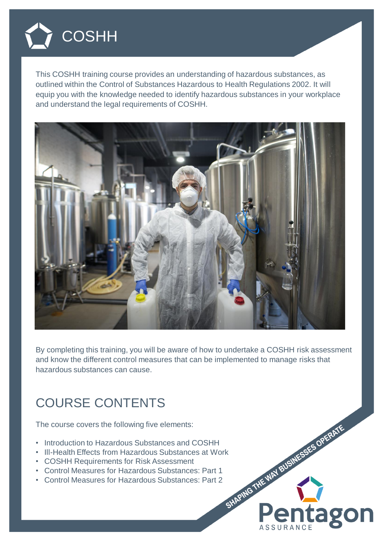

This COSHH training course provides an understanding of hazardous substances, as outlined within the Control of Substances Hazardous to Health Regulations 2002. It will equip you with the knowledge needed to identify hazardous substances in your workplace and understand the legal requirements of COSHH.



By completing this training, you will be aware of how to undertake a COSHH risk assessment and know the different control measures that can be implemented to manage risks that hazardous substances can cause.

itago

## COURSE CONTENTS

The course covers the following five elements:

- Introduction to Hazardous Substances and COSHH
- III-Health Effects from Hazardous Substances and COSHH<br>• COSHH Requirements for Risk Assessment<br>• Control Measures for Hazardous Substances: Part 1<br>• Control Measures for Hazardous Substances: Part 2
- COSHH Requirements for Risk Assessment
- Control Measures for Hazardous Substances: Part 1
- Control Measures for Hazardous Substances: Part 2